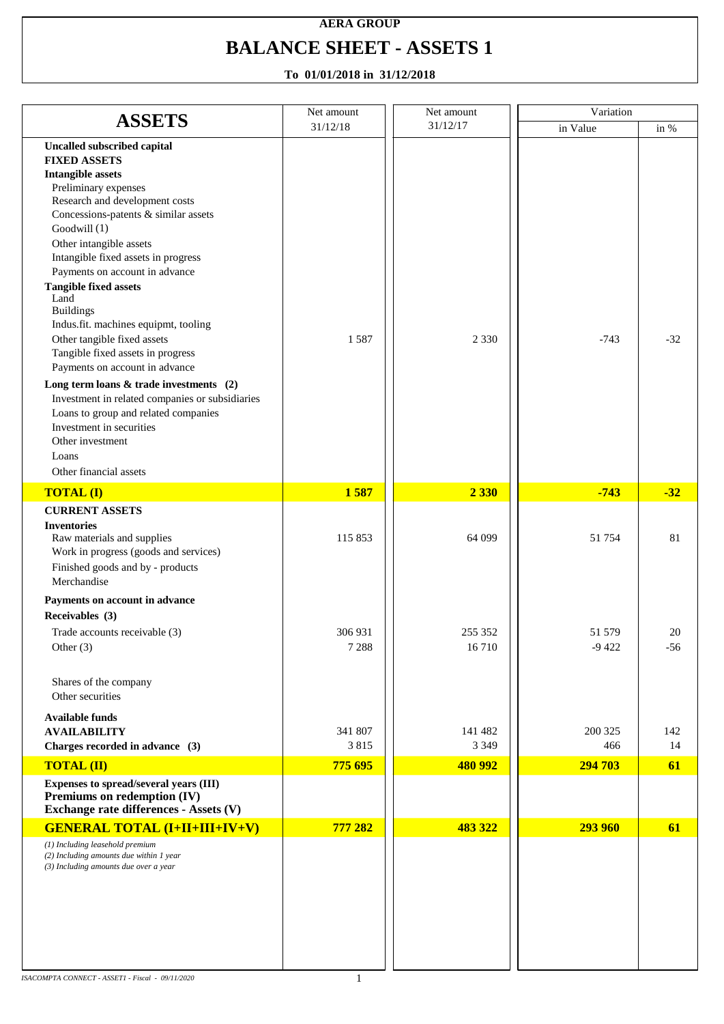## **AERA GROUP BALANCE SHEET - ASSETS 1**

|                                                                                                                                                                                                                                                                                                                                                                                                                                                                                                                                                                                                                                                                                                                          | Net amount         | Net amount         | Variation         |             |
|--------------------------------------------------------------------------------------------------------------------------------------------------------------------------------------------------------------------------------------------------------------------------------------------------------------------------------------------------------------------------------------------------------------------------------------------------------------------------------------------------------------------------------------------------------------------------------------------------------------------------------------------------------------------------------------------------------------------------|--------------------|--------------------|-------------------|-------------|
| <b>ASSETS</b>                                                                                                                                                                                                                                                                                                                                                                                                                                                                                                                                                                                                                                                                                                            | 31/12/18           | 31/12/17           | in Value          | in %        |
| <b>Uncalled subscribed capital</b><br><b>FIXED ASSETS</b><br><b>Intangible assets</b><br>Preliminary expenses<br>Research and development costs<br>Concessions-patents & similar assets<br>Goodwill $(1)$<br>Other intangible assets<br>Intangible fixed assets in progress<br>Payments on account in advance<br><b>Tangible fixed assets</b><br>Land<br><b>Buildings</b><br>Indus.fit. machines equipmt, tooling<br>Other tangible fixed assets<br>Tangible fixed assets in progress<br>Payments on account in advance<br>Long term loans $&$ trade investments (2)<br>Investment in related companies or subsidiaries<br>Loans to group and related companies<br>Investment in securities<br>Other investment<br>Loans | 1587               | 2 3 3 0            | $-743$            | $-32$       |
| Other financial assets                                                                                                                                                                                                                                                                                                                                                                                                                                                                                                                                                                                                                                                                                                   |                    |                    |                   |             |
| <b>TOTAL (I)</b>                                                                                                                                                                                                                                                                                                                                                                                                                                                                                                                                                                                                                                                                                                         | 1587               | 2 3 3 0            | $-743$            | $-32$       |
| <b>CURRENT ASSETS</b><br><b>Inventories</b><br>Raw materials and supplies<br>Work in progress (goods and services)<br>Finished goods and by - products<br>Merchandise                                                                                                                                                                                                                                                                                                                                                                                                                                                                                                                                                    | 115 853            | 64 099             | 51754             | 81          |
| Payments on account in advance<br>Receivables (3)<br>Trade accounts receivable (3)<br>Other $(3)$                                                                                                                                                                                                                                                                                                                                                                                                                                                                                                                                                                                                                        | 306 931<br>7 2 8 8 | 255 352<br>16710   | 51 579<br>$-9422$ | 20<br>$-56$ |
| Shares of the company<br>Other securities<br><b>Available funds</b>                                                                                                                                                                                                                                                                                                                                                                                                                                                                                                                                                                                                                                                      |                    |                    |                   |             |
| <b>AVAILABILITY</b><br>Charges recorded in advance (3)                                                                                                                                                                                                                                                                                                                                                                                                                                                                                                                                                                                                                                                                   | 341 807<br>3815    | 141 482<br>3 3 4 9 | 200 325<br>466    | 142<br>14   |
| <b>TOTAL (II)</b>                                                                                                                                                                                                                                                                                                                                                                                                                                                                                                                                                                                                                                                                                                        | 775 695            | 480 992            | 294 703           | 61          |
| Expenses to spread/several years (III)<br>Premiums on redemption (IV)<br>Exchange rate differences - Assets (V)                                                                                                                                                                                                                                                                                                                                                                                                                                                                                                                                                                                                          |                    |                    |                   |             |
| <b>GENERAL TOTAL (I+II+III+IV+V)</b>                                                                                                                                                                                                                                                                                                                                                                                                                                                                                                                                                                                                                                                                                     | 777 282            | 483 322            | 293 960           | 61          |
| (1) Including leasehold premium<br>(2) Including amounts due within 1 year<br>(3) Including amounts due over a year                                                                                                                                                                                                                                                                                                                                                                                                                                                                                                                                                                                                      |                    |                    |                   |             |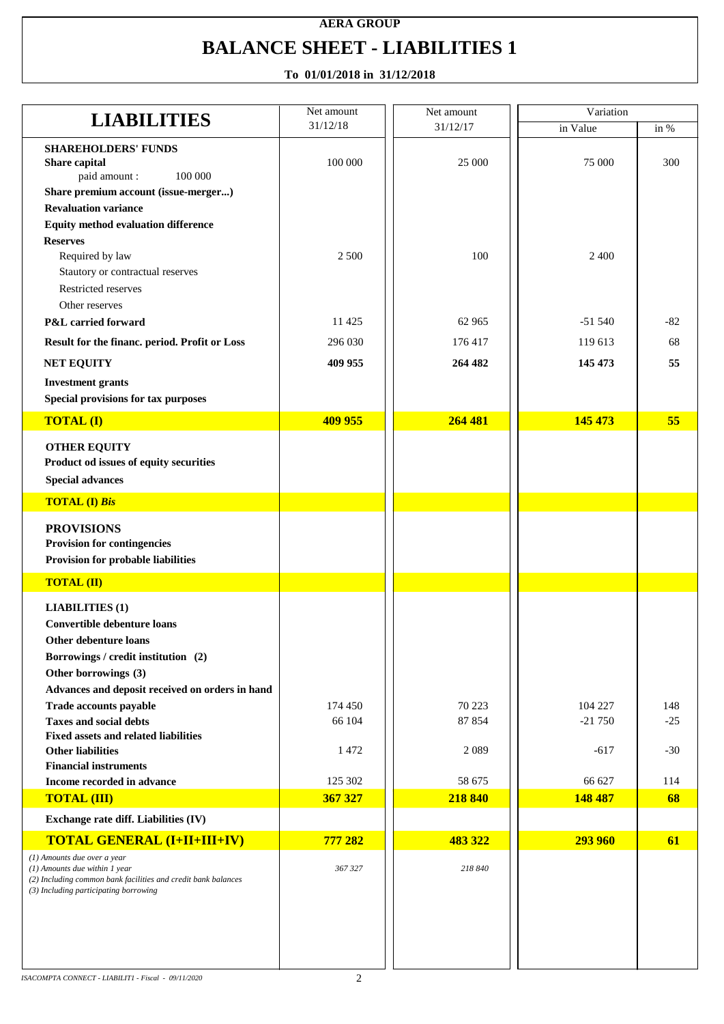# **AERA GROUP BALANCE SHEET - LIABILITIES 1**

| <b>LIABILITIES</b>                                                                                                                      | Net amount | Net amount | Variation |       |
|-----------------------------------------------------------------------------------------------------------------------------------------|------------|------------|-----------|-------|
|                                                                                                                                         | 31/12/18   | 31/12/17   | in Value  | in %  |
| <b>SHAREHOLDERS' FUNDS</b><br>Share capital<br>100 000<br>paid amount:                                                                  | 100 000    | 25 000     | 75 000    | 300   |
| Share premium account (issue-merger)                                                                                                    |            |            |           |       |
| <b>Revaluation variance</b>                                                                                                             |            |            |           |       |
| <b>Equity method evaluation difference</b>                                                                                              |            |            |           |       |
| <b>Reserves</b>                                                                                                                         |            |            |           |       |
| Required by law<br>Stautory or contractual reserves                                                                                     | 2 500      | 100        | 2 4 0 0   |       |
| Restricted reserves                                                                                                                     |            |            |           |       |
| Other reserves                                                                                                                          |            |            |           |       |
| P&L carried forward                                                                                                                     | 11425      | 62 965     | $-51540$  | $-82$ |
| Result for the financ. period. Profit or Loss                                                                                           | 296 030    | 176417     | 119 613   | 68    |
| <b>NET EQUITY</b>                                                                                                                       | 409 955    | 264 482    | 145 473   | 55    |
| <b>Investment grants</b><br>Special provisions for tax purposes                                                                         |            |            |           |       |
| <b>TOTAL (I)</b>                                                                                                                        | 409 955    | 264 481    | 145 473   | 55    |
|                                                                                                                                         |            |            |           |       |
| <b>OTHER EQUITY</b><br>Product od issues of equity securities                                                                           |            |            |           |       |
| <b>Special advances</b>                                                                                                                 |            |            |           |       |
|                                                                                                                                         |            |            |           |       |
| <b>TOTAL (I) Bis</b>                                                                                                                    |            |            |           |       |
| <b>PROVISIONS</b>                                                                                                                       |            |            |           |       |
| <b>Provision for contingencies</b>                                                                                                      |            |            |           |       |
| Provision for probable liabilities                                                                                                      |            |            |           |       |
| <b>TOTAL (II)</b>                                                                                                                       |            |            |           |       |
| <b>LIABILITIES (1)</b>                                                                                                                  |            |            |           |       |
| Convertible debenture loans                                                                                                             |            |            |           |       |
| <b>Other debenture loans</b>                                                                                                            |            |            |           |       |
| Borrowings / credit institution (2)                                                                                                     |            |            |           |       |
| Other borrowings (3)                                                                                                                    |            |            |           |       |
| Advances and deposit received on orders in hand                                                                                         |            |            |           |       |
| Trade accounts payable                                                                                                                  | 174 450    | 70 223     | 104 227   | 148   |
| <b>Taxes and social debts</b>                                                                                                           | 66 104     | 87 854     | $-21750$  | $-25$ |
| <b>Fixed assets and related liabilities</b><br><b>Other liabilities</b>                                                                 | 1472       | 2089       | $-617$    | $-30$ |
| <b>Financial instruments</b>                                                                                                            |            |            |           |       |
| Income recorded in advance                                                                                                              | 125 302    | 58 675     | 66 627    | 114   |
| <b>TOTAL (III)</b>                                                                                                                      | 367 327    | 218 840    | 148 487   | 68    |
| Exchange rate diff. Liabilities (IV)                                                                                                    |            |            |           |       |
| <b>TOTAL GENERAL (I+II+III+IV)</b>                                                                                                      | 777 282    | 483 322    | 293 960   | 61    |
| (1) Amounts due over a year                                                                                                             |            |            |           |       |
| (1) Amounts due within 1 year<br>(2) Including common bank facilities and credit bank balances<br>(3) Including participating borrowing | 367 327    | 218 840    |           |       |
|                                                                                                                                         |            |            |           |       |
|                                                                                                                                         |            |            |           |       |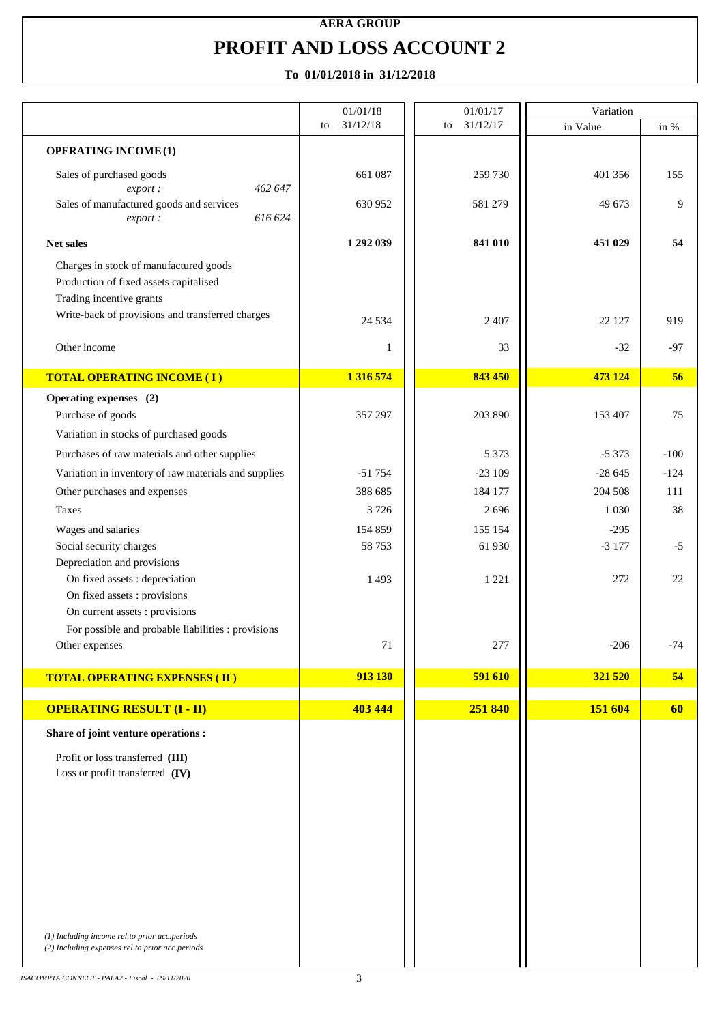## **AERA GROUP PROFIT AND LOSS ACCOUNT 2**

|                                                                                                                                                                  | 01/01/18       | 01/01/17       | Variation |        |
|------------------------------------------------------------------------------------------------------------------------------------------------------------------|----------------|----------------|-----------|--------|
|                                                                                                                                                                  | 31/12/18<br>to | 31/12/17<br>to | in Value  | in %   |
| <b>OPERATING INCOME (1)</b>                                                                                                                                      |                |                |           |        |
| Sales of purchased goods<br>462 647<br>export:                                                                                                                   | 661 087        | 259 730        | 401 356   | 155    |
| Sales of manufactured goods and services<br>616 624<br>export:                                                                                                   | 630 952        | 581 279        | 49 673    | 9      |
| Net sales                                                                                                                                                        | 1 292 039      | 841 010        | 451 029   | 54     |
| Charges in stock of manufactured goods<br>Production of fixed assets capitalised<br>Trading incentive grants<br>Write-back of provisions and transferred charges |                |                |           |        |
|                                                                                                                                                                  | 24 5 34        | 2 4 0 7        | 22 127    | 919    |
| Other income                                                                                                                                                     | 1              | 33             | $-32$     | $-97$  |
| <b>TOTAL OPERATING INCOME (I)</b>                                                                                                                                | 1 316 574      | 843 450        | 473 124   | 56     |
| Operating expenses (2)                                                                                                                                           |                |                |           |        |
| Purchase of goods                                                                                                                                                | 357 297        | 203 890        | 153 407   | 75     |
| Variation in stocks of purchased goods                                                                                                                           |                |                |           |        |
| Purchases of raw materials and other supplies                                                                                                                    |                | 5 3 7 3        | $-5373$   | $-100$ |
| Variation in inventory of raw materials and supplies                                                                                                             | $-51754$       | $-23109$       | $-28645$  | $-124$ |
| Other purchases and expenses                                                                                                                                     | 388 685        | 184 177        | 204 508   | 111    |
| <b>Taxes</b>                                                                                                                                                     | 3726           | 2696           | 1 0 3 0   | 38     |
| Wages and salaries                                                                                                                                               | 154 859        | 155 154        | $-295$    |        |
| Social security charges<br>Depreciation and provisions                                                                                                           | 58753          | 61 930         | $-3177$   | $-5$   |
| On fixed assets : depreciation<br>On fixed assets : provisions                                                                                                   | 1493           | 1 2 2 1        | 272       | 22     |
| On current assets : provisions                                                                                                                                   |                |                |           |        |
| For possible and probable liabilities : provisions                                                                                                               |                |                |           |        |
| Other expenses                                                                                                                                                   | $71\,$         | 277            | $-206$    | $-74$  |
| <b>TOTAL OPERATING EXPENSES (II)</b>                                                                                                                             | 913 130        | 591 610        | 321 520   | 54     |
| <b>OPERATING RESULT (I - II)</b>                                                                                                                                 | 403 444        | 251 840        | 151 604   | 60     |
| Share of joint venture operations :                                                                                                                              |                |                |           |        |
| Profit or loss transferred (III)                                                                                                                                 |                |                |           |        |
| Loss or profit transferred (IV)                                                                                                                                  |                |                |           |        |
|                                                                                                                                                                  |                |                |           |        |
|                                                                                                                                                                  |                |                |           |        |
|                                                                                                                                                                  |                |                |           |        |
|                                                                                                                                                                  |                |                |           |        |
|                                                                                                                                                                  |                |                |           |        |
|                                                                                                                                                                  |                |                |           |        |
|                                                                                                                                                                  |                |                |           |        |
|                                                                                                                                                                  |                |                |           |        |
| (1) Including income rel.to prior acc.periods<br>(2) Including expenses rel.to prior acc.periods                                                                 |                |                |           |        |
|                                                                                                                                                                  |                |                |           |        |